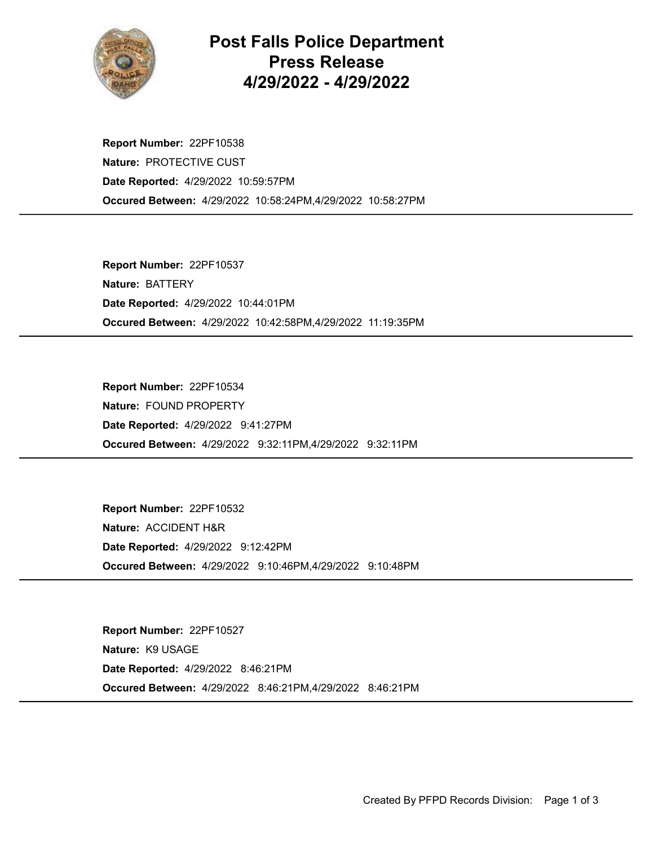

## Post Falls Police Department Press Release 4/29/2022 - 4/29/2022

Occured Between: 4/29/2022 10:58:24PM,4/29/2022 10:58:27PM Report Number: 22PF10538 Nature: PROTECTIVE CUST Date Reported: 4/29/2022 10:59:57PM

Occured Between: 4/29/2022 10:42:58PM,4/29/2022 11:19:35PM Report Number: 22PF10537 Nature: BATTERY Date Reported: 4/29/2022 10:44:01PM

Occured Between: 4/29/2022 9:32:11PM,4/29/2022 9:32:11PM Report Number: 22PF10534 Nature: FOUND PROPERTY Date Reported: 4/29/2022 9:41:27PM

Occured Between: 4/29/2022 9:10:46PM,4/29/2022 9:10:48PM Report Number: 22PF10532 Nature: ACCIDENT H&R Date Reported: 4/29/2022 9:12:42PM

Occured Between: 4/29/2022 8:46:21PM,4/29/2022 8:46:21PM Report Number: 22PF10527 Nature: K9 USAGE Date Reported: 4/29/2022 8:46:21PM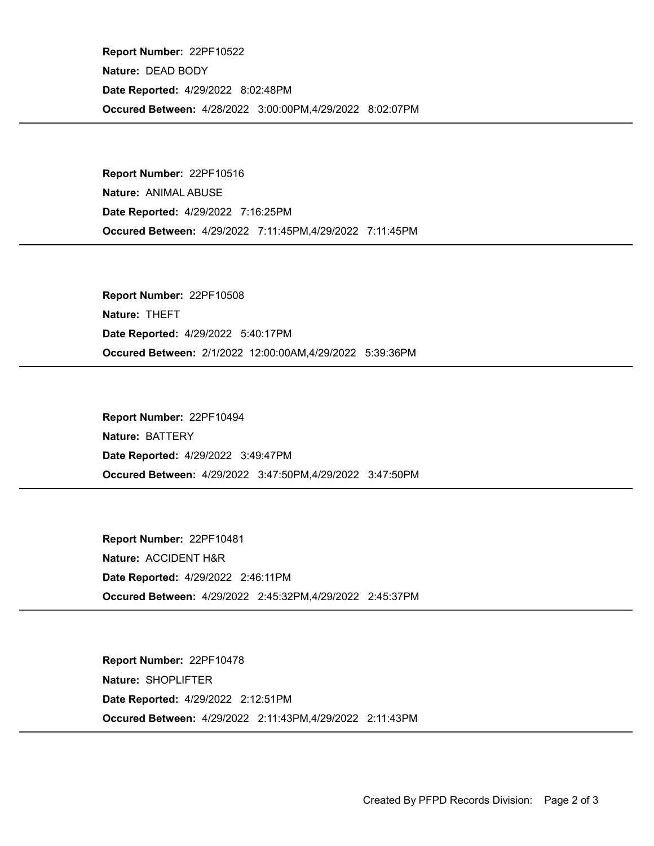Occured Between: 4/28/2022 3:00:00PM,4/29/2022 8:02:07PM Report Number: 22PF10522 Nature: DEAD BODY Date Reported: 4/29/2022 8:02:48PM

Occured Between: 4/29/2022 7:11:45PM,4/29/2022 7:11:45PM Report Number: 22PF10516 Nature: ANIMAL ABUSE Date Reported: 4/29/2022 7:16:25PM

Occured Between: 2/1/2022 12:00:00AM,4/29/2022 5:39:36PM Report Number: 22PF10508 Nature: THEFT Date Reported: 4/29/2022 5:40:17PM

Occured Between: 4/29/2022 3:47:50PM,4/29/2022 3:47:50PM Report Number: 22PF10494 Nature: BATTERY Date Reported: 4/29/2022 3:49:47PM

Occured Between: 4/29/2022 2:45:32PM,4/29/2022 2:45:37PM Report Number: 22PF10481 Nature: ACCIDENT H&R Date Reported: 4/29/2022 2:46:11PM

Occured Between: 4/29/2022 2:11:43PM,4/29/2022 2:11:43PM Report Number: 22PF10478 Nature: SHOPLIFTER Date Reported: 4/29/2022 2:12:51PM